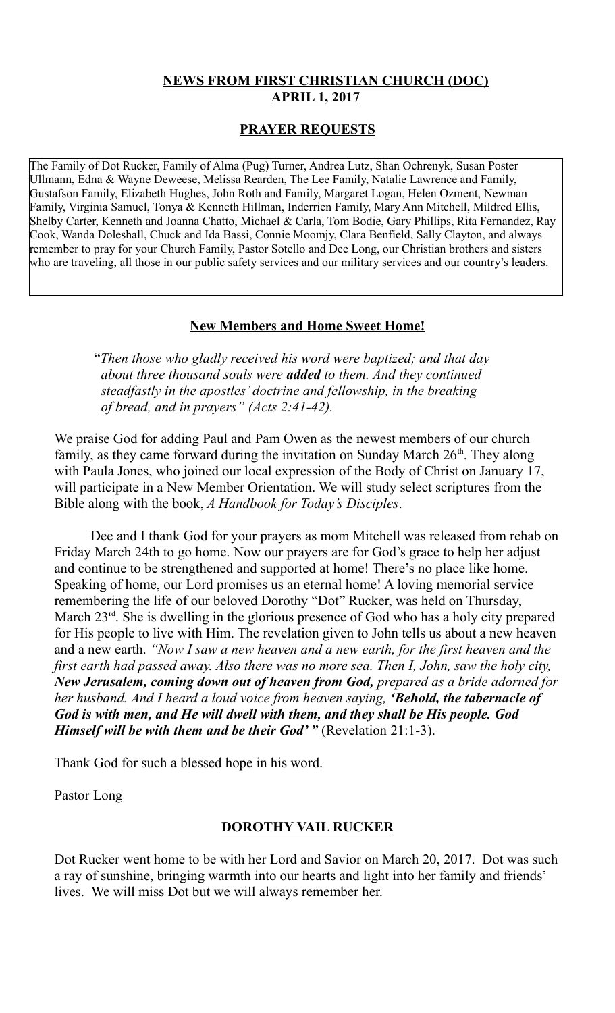### **NEWS FROM FIRST CHRISTIAN CHURCH (DOC) APRIL 1, 2017**

### **PRAYER REQUESTS**

The Family of Dot Rucker, Family of Alma (Pug) Turner, Andrea Lutz, Shan Ochrenyk, Susan Poster Ullmann, Edna & Wayne Deweese, Melissa Rearden, The Lee Family, Natalie Lawrence and Family, Gustafson Family, Elizabeth Hughes, John Roth and Family, Margaret Logan, Helen Ozment, Newman Family, Virginia Samuel, Tonya & Kenneth Hillman, Inderrien Family, Mary Ann Mitchell, Mildred Ellis, Shelby Carter, Kenneth and Joanna Chatto, Michael & Carla, Tom Bodie, Gary Phillips, Rita Fernandez, Ray Cook, Wanda Doleshall, Chuck and Ida Bassi, Connie Moomjy, Clara Benfield, Sally Clayton, and always remember to pray for your Church Family, Pastor Sotello and Dee Long, our Christian brothers and sisters who are traveling, all those in our public safety services and our military services and our country's leaders.

### **New Members and Home Sweet Home!**

 "*Then those who gladly received his word were baptized; and that day about three thousand souls were added to them. And they continued steadfastly in the apostles' doctrine and fellowship, in the breaking of bread, and in prayers" (Acts 2:41-42).* 

We praise God for adding Paul and Pam Owen as the newest members of our church family, as they came forward during the invitation on Sunday March  $26<sup>th</sup>$ . They along with Paula Jones, who joined our local expression of the Body of Christ on January 17, will participate in a New Member Orientation. We will study select scriptures from the Bible along with the book, *A Handbook for Today's Disciples*.

Dee and I thank God for your prayers as mom Mitchell was released from rehab on Friday March 24th to go home. Now our prayers are for God's grace to help her adjust and continue to be strengthened and supported at home! There's no place like home. Speaking of home, our Lord promises us an eternal home! A loving memorial service remembering the life of our beloved Dorothy "Dot" Rucker, was held on Thursday, March 23<sup>rd</sup>. She is dwelling in the glorious presence of God who has a holy city prepared for His people to live with Him. The revelation given to John tells us about a new heaven and a new earth. *"Now I saw a new heaven and a new earth, for the first heaven and the first earth had passed away. Also there was no more sea. Then I, John, saw the holy city, New Jerusalem, coming down out of heaven from God, prepared as a bride adorned for her husband. And I heard a loud voice from heaven saying, 'Behold, the tabernacle of God is with men, and He will dwell with them, and they shall be His people. God Himself will be with them and be their God' "* (Revelation 21:1-3).

Thank God for such a blessed hope in his word.

Pastor Long

## **DOROTHY VAIL RUCKER**

Dot Rucker went home to be with her Lord and Savior on March 20, 2017. Dot was such a ray of sunshine, bringing warmth into our hearts and light into her family and friends' lives. We will miss Dot but we will always remember her.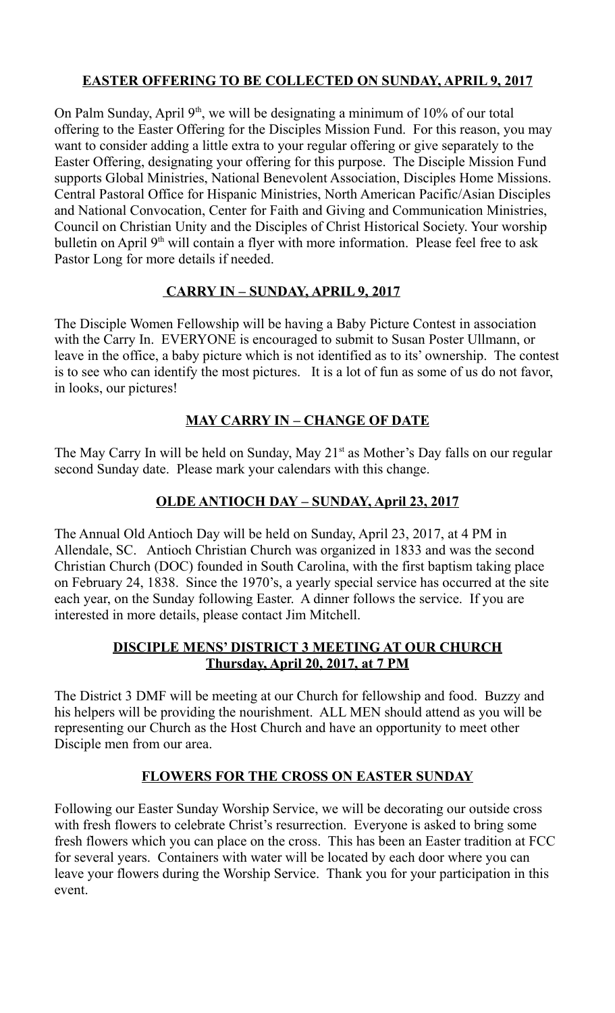# **EASTER OFFERING TO BE COLLECTED ON SUNDAY, APRIL 9, 2017**

On Palm Sunday, April  $9<sup>th</sup>$ , we will be designating a minimum of 10% of our total offering to the Easter Offering for the Disciples Mission Fund. For this reason, you may want to consider adding a little extra to your regular offering or give separately to the Easter Offering, designating your offering for this purpose. The Disciple Mission Fund supports Global Ministries, National Benevolent Association, Disciples Home Missions. Central Pastoral Office for Hispanic Ministries, North American Pacific/Asian Disciples and National Convocation, Center for Faith and Giving and Communication Ministries, Council on Christian Unity and the Disciples of Christ Historical Society. Your worship bulletin on April 9<sup>th</sup> will contain a flyer with more information. Please feel free to ask Pastor Long for more details if needed.

# **CARRY IN – SUNDAY, APRIL 9, 2017**

The Disciple Women Fellowship will be having a Baby Picture Contest in association with the Carry In. EVERYONE is encouraged to submit to Susan Poster Ullmann, or leave in the office, a baby picture which is not identified as to its' ownership. The contest is to see who can identify the most pictures. It is a lot of fun as some of us do not favor, in looks, our pictures!

# **MAY CARRY IN – CHANGE OF DATE**

The May Carry In will be held on Sunday, May  $21<sup>st</sup>$  as Mother's Day falls on our regular second Sunday date. Please mark your calendars with this change.

# **OLDE ANTIOCH DAY – SUNDAY, April 23, 2017**

The Annual Old Antioch Day will be held on Sunday, April 23, 2017, at 4 PM in Allendale, SC. Antioch Christian Church was organized in 1833 and was the second Christian Church (DOC) founded in South Carolina, with the first baptism taking place on February 24, 1838. Since the 1970's, a yearly special service has occurred at the site each year, on the Sunday following Easter. A dinner follows the service. If you are interested in more details, please contact Jim Mitchell.

### **DISCIPLE MENS' DISTRICT 3 MEETING AT OUR CHURCH Thursday, April 20, 2017, at 7 PM**

The District 3 DMF will be meeting at our Church for fellowship and food. Buzzy and his helpers will be providing the nourishment. ALL MEN should attend as you will be representing our Church as the Host Church and have an opportunity to meet other Disciple men from our area.

## **FLOWERS FOR THE CROSS ON EASTER SUNDAY**

Following our Easter Sunday Worship Service, we will be decorating our outside cross with fresh flowers to celebrate Christ's resurrection. Everyone is asked to bring some fresh flowers which you can place on the cross. This has been an Easter tradition at FCC for several years. Containers with water will be located by each door where you can leave your flowers during the Worship Service. Thank you for your participation in this event.